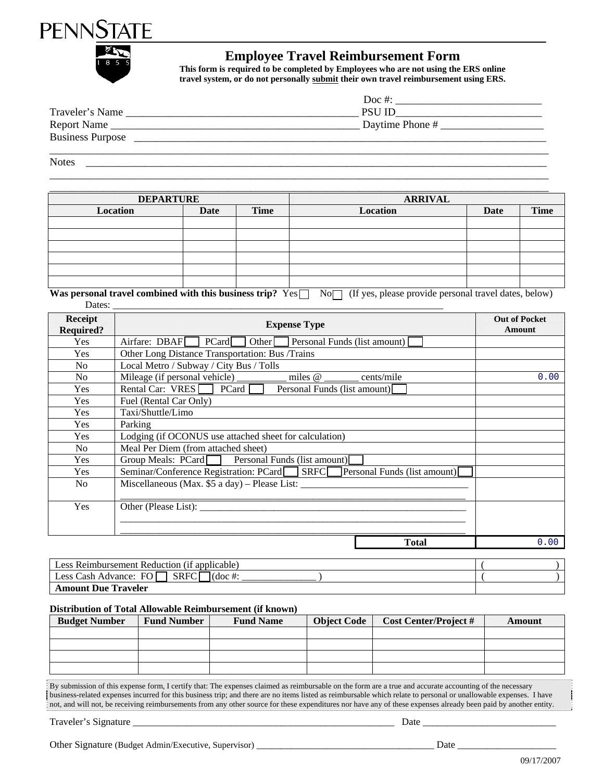



## **Employee Travel Reimbursement Form**

**This form is required to be completed by Employees who are not using the ERS online travel system, or do not personally submit their own travel reimbursement using ERS.** 

|                         | Doc #:          |
|-------------------------|-----------------|
| Traveler's Name         | <b>PSU ID</b>   |
| Report Name             | Daytime Phone # |
| <b>Business Purpose</b> |                 |
|                         |                 |

\_\_\_\_\_\_\_\_\_\_\_\_\_\_\_\_\_\_\_\_\_\_\_\_\_\_\_\_\_\_\_\_\_\_\_\_\_\_\_\_\_\_\_\_\_\_\_\_\_\_\_\_\_\_\_\_\_\_\_\_\_\_\_\_\_\_\_\_\_\_\_\_\_\_\_\_\_\_\_\_\_\_\_\_\_\_\_\_\_\_\_\_

Notes \_\_\_\_\_\_\_\_\_\_\_\_\_\_\_\_\_\_\_\_\_\_\_\_\_\_\_\_\_\_\_\_\_\_\_\_\_\_\_\_\_\_\_\_\_\_\_\_\_\_\_\_\_\_\_\_\_\_\_\_\_\_\_\_\_\_\_\_\_\_\_\_\_\_\_\_\_\_\_\_\_\_\_\_\_

|                 | <b>DEPARTURE</b> |      | <b>ARRIVAL</b>  |      |             |
|-----------------|------------------|------|-----------------|------|-------------|
| <b>Location</b> | Date             | Time | <b>Location</b> | Date | <b>Time</b> |
|                 |                  |      |                 |      |             |
|                 |                  |      |                 |      |             |
|                 |                  |      |                 |      |             |
|                 |                  |      |                 |      |             |
|                 |                  |      |                 |      |             |
|                 |                  |      |                 |      |             |

Was personal travel combined with this business trip? Yes  $\Box$  No  $\Box$  (If yes, please provide personal travel dates, below) Dates: \_\_\_\_\_\_\_\_\_\_\_\_\_\_\_\_\_\_\_\_\_\_\_\_\_\_\_\_\_\_\_\_\_\_\_\_\_\_\_\_\_\_\_\_\_\_\_\_\_\_\_\_\_\_\_\_\_\_\_\_\_\_\_\_\_\_\_

| <b>Receipt</b><br><b>Required?</b> | <b>Expense Type</b>                                                      | <b>Out of Pocket</b><br><b>Amount</b> |
|------------------------------------|--------------------------------------------------------------------------|---------------------------------------|
| <b>Yes</b>                         | Airfare: DBAF PCard Other Personal Funds (list amount)                   |                                       |
| Yes                                | Other Long Distance Transportation: Bus /Trains                          |                                       |
| N <sub>o</sub>                     | Local Metro / Subway / City Bus / Tolls                                  |                                       |
| No.                                | cents/mile                                                               | 0.00                                  |
| Yes                                | Rental Car: $VRES$ PCard<br>Personal Funds (list amount)                 |                                       |
| <b>Yes</b>                         | Fuel (Rental Car Only)                                                   |                                       |
| Yes                                | Taxi/Shuttle/Limo                                                        |                                       |
| Yes                                | Parking                                                                  |                                       |
| <b>Yes</b>                         | Lodging (if OCONUS use attached sheet for calculation)                   |                                       |
| No.                                | Meal Per Diem (from attached sheet)                                      |                                       |
| <b>Yes</b>                         | Group Meals: PCard Personal Funds (list amount)                          |                                       |
| Yes                                | Seminar/Conference Registration: PCard SRFC Personal Funds (list amount) |                                       |
| N <sub>0</sub>                     | Miscellaneous (Max. \$5 a day) – Please List:                            |                                       |
| Yes                                |                                                                          |                                       |
|                                    | Total                                                                    | 0.00                                  |

| Less Reimbursement Reduction (if applicable)                      |  |
|-------------------------------------------------------------------|--|
| FO  <br><b>SRFC</b><br>Less Cash Advance:<br>$\cdot$ (doc $\pm$ . |  |
| <b>Amount Due Traveler</b>                                        |  |

## **Distribution of Total Allowable Reimbursement (if known)**

| <b>Budget Number</b> | <b>Fund Number</b> | <b>Fund Name</b> | <b>Object Code</b> | <b>Cost Center/Project #</b> | Amount |
|----------------------|--------------------|------------------|--------------------|------------------------------|--------|
|                      |                    |                  |                    |                              |        |
|                      |                    |                  |                    |                              |        |
|                      |                    |                  |                    |                              |        |

By submission of this expense form, I certify that: The expenses claimed as reimbursable on the form are a true and accurate accounting of the necessary business-related expenses incurred for this business trip; and there are no items listed as reimbursable which relate to personal or unallowable expenses. I have not, and will not, be receiving reimbursements from any other source for these expenditures nor have any of these expenses already been paid by another entity.

Traveler's Signature \_\_\_\_\_\_\_\_\_\_\_\_\_\_\_\_\_\_\_\_\_\_\_\_\_\_\_\_\_\_\_\_\_\_\_\_\_\_\_\_\_\_\_\_\_\_\_\_\_\_\_\_\_ Date \_\_\_\_\_\_\_\_\_\_\_\_\_\_\_\_\_\_\_\_\_\_\_\_\_\_\_

Other Signature (Budget Admin/Executive, Supervisor) \_\_\_\_\_\_\_\_\_\_\_\_\_\_\_\_\_\_\_\_\_\_\_\_\_\_\_\_\_\_\_\_\_\_\_\_ Date \_\_\_\_\_\_\_\_\_\_\_\_\_\_\_\_\_\_\_\_